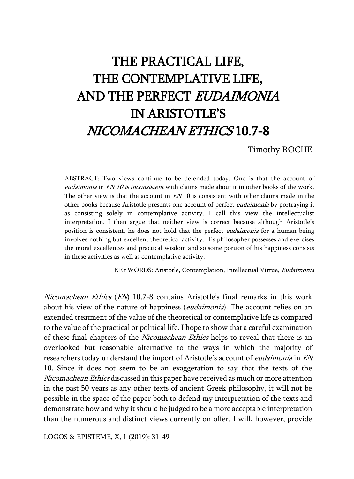# THE PRACTICAL LIFE, THE CONTEMPLATIVE LIFE, AND THE PERFECT EUDAIMONIA IN ARISTOTLE'S NICOMACHEAN ETHICS 10.7-8

Timothy ROCHE

ABSTRACT: Two views continue to be defended today. One is that the account of eudaimonia in EN 10 is inconsistent with claims made about it in other books of the work. The other view is that the account in  $EN10$  is consistent with other claims made in the other books because Aristotle presents one account of perfect eudaimonia by portraying it as consisting solely in contemplative activity. I call this view the intellectualist interpretation. I then argue that neither view is correct because although Aristotle's position is consistent, he does not hold that the perfect *eudaimonia* for a human being involves nothing but excellent theoretical activity. His philosopher possesses and exercises the moral excellences and practical wisdom and so some portion of his happiness consists in these activities as well as contemplative activity.

KEYWORDS: Aristotle, Contemplation, Intellectual Virtue, Eudaimonia

Nicomachean Ethics (EN) 10.7-8 contains Aristotle's final remarks in this work about his view of the nature of happiness (*eudaimonia*). The account relies on an extended treatment of the value of the theoretical or contemplative life as compared to the value of the practical or political life. I hope to show that a careful examination of these final chapters of the *Nicomachean Ethics* helps to reveal that there is an overlooked but reasonable alternative to the ways in which the majority of researchers today understand the import of Aristotle's account of *eudaimonia* in EN 10. Since it does not seem to be an exaggeration to say that the texts of the Nicomachean Ethics discussed in this paper have received as much or more attention in the past 50 years as any other texts of ancient Greek philosophy, it will not be possible in the space of the paper both to defend my interpretation of the texts and demonstrate how and why it should be judged to be a more acceptable interpretation than the numerous and distinct views currently on offer. I will, however, provide

LOGOS & EPISTEME, X, 1 (2019): 31-49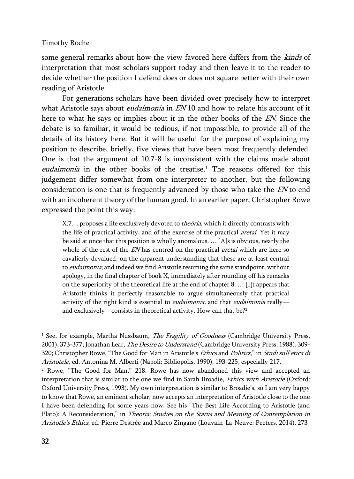some general remarks about how the view favored here differs from the *kinds* of interpretation that most scholars support today and then leave it to the reader to decide whether the position I defend does or does not square better with their own reading of Aristotle.

For generations scholars have been divided over precisely how to interpret what Aristotle says about *eudaimonia* in EN 10 and how to relate his account of it here to what he says or implies about it in the other books of the EN. Since the debate is so familiar, it would be tedious, if not impossible, to provide all of the details of its history here. But it will be useful for the purpose of explaining my position to describe, briefly, five views that have been most frequently defended. One is that the argument of 10.7-8 is inconsistent with the claims made about eudaimonia in the other books of the treatise.<sup>1</sup> The reasons offered for this judgement differ somewhat from one interpreter to another, but the following consideration is one that is frequently advanced by those who take the EN to end with an incoherent theory of the human good. In an earlier paper, Christopher Rowe expressed the point this way:

X.7... proposes a life exclusively devoted to *theōria*, which it directly contrasts with the life of practical activity, and of the exercise of the practical *aretai*. Yet it may be said at once that this position is wholly anomalous. … [A]s is obvious, nearly the whole of the rest of the EN has centred on the practical *aretai* which are here so cavalierly devalued, on the apparent understanding that these are at least central to *eudaimonia*; and indeed we find Aristotle resuming the same standpoint, without apology, in the final chapter of book X, immediately after rounding off his remarks on the superiority of the theoretical life at the end of chapter 8. … [I]t appears that Aristotle thinks it perfectly reasonable to argue simultaneously that practical activity of the right kind is essential to *eudaimonia*, and that *eudaimonia* reallyand exclusively—consists in theoretical activity. How can that be?<sup>2</sup>

<sup>&</sup>lt;sup>1</sup> See, for example, Martha Nussbaum, *The Fragility of Goodness* (Cambridge University Press, 2001), 373-377; Jonathan Lear, *The Desire to Understand* (Cambridge University Press, 1988), 309-320; Christopher Rowe, "The Good for Man in Aristotle's Ethics and Politics," in Studi sull'etica di Aristotele, ed. Antonina M. Alberti (Napoli: Bibliopolis, 1990), 193-225, especially 217.

<sup>2</sup> Rowe, "The Good for Man," 218. Rowe has now abandoned this view and accepted an interpretation that is similar to the one we find in Sarah Broadie, *Ethics with Aristotle* (Oxford: Oxford University Press, 1993). My own interpretation is similar to Broadie's, so I am very happy to know that Rowe, an eminent scholar, now accepts an interpretation of Aristotle close to the one I have been defending for some years now. See his "The Best Life According to Aristotle (and Plato): A Reconsideration," in Theoria: Studies on the Status and Meaning of Contemplation in Aristotle's Ethics, ed. Pierre Destrée and Marco Zingano (Louvain-La-Neuve: Peeters, 2014), 273-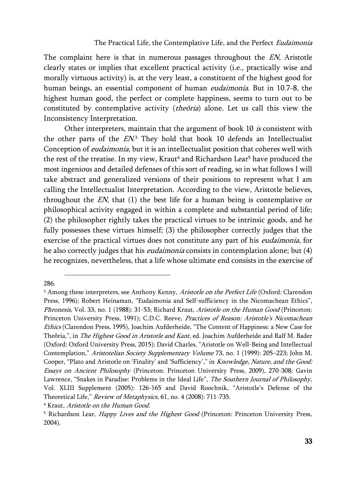The complaint here is that in numerous passages throughout the EN, Aristotle clearly states or implies that excellent practical activity (i.e., practically wise and morally virtuous activity) is, at the very least, a constituent of the highest good for human beings, an essential component of human eudaimonia. But in 10.7-8, the highest human good, the perfect or complete happiness, seems to turn out to be constituted by contemplative activity  $(the\bar{o}ria)$  alone. Let us call this view the Inconsistency Interpretation.

Other interpreters, maintain that the argument of book 10 is consistent with the other parts of the  $EN^3$  They hold that book 10 defends an Intellectualist Conception of *eudaimonia*, but it is an intellectualist position that coheres well with the rest of the treatise. In my view, Kraut<sup>4</sup> and Richardson Lear<sup>5</sup> have produced the most ingenious and detailed defenses of this sort of reading, so in what follows I will take abstract and generalized versions of their positions to represent what I am calling the Intellectualist Interpretation. According to the view, Aristotle believes, throughout the EN, that (1) the best life for a human being is contemplative or philosophical activity engaged in within a complete and substantial period of life; (2) the philosopher rightly takes the practical virtues to be intrinsic goods, and he fully possesses these virtues himself; (3) the philosopher correctly judges that the exercise of the practical virtues does not constitute any part of his *eudaimonia*, for he also correctly judges that his *eudaimonia* consists in contemplation alone; but (4) he recognizes, nevertheless, that a life whose ultimate end consists in the exercise of

286.

<sup>&</sup>lt;sup>3</sup> Among these interpreters, see Anthony Kenny, Aristotle on the Perfect Life (Oxford: Clarendon Press, 1996); Robert Heinaman, "Eudaimonia and Self-sufficiency in the Nicomachean Ethics", Phronesis, Vol. 33, no. 1 (1988): 31-53; Richard Kraut, Aristotle on the Human Good (Princeton: Princeton University Press, 1991); C.D.C. Reeve, Practices of Reason: Aristotle's Nicomachean Ethics (Clarendon Press, 1995), Joachim Aufderheide, "The Content of Happiness: a New Case for Theôria,", in The Highest Good in Aristotle and Kant, ed. Joachim Aufderheide and Ralf M. Bader (Oxford: Oxford University Press, 2015); David Charles, "Aristotle on Well-Being and Intellectual Contemplation," Aristotelian Society Supplementary Volume 73, no. 1 (1999): 205–223; John M. Cooper, "Plato and Aristotle on 'Finality' and 'Sufficiency'," in Knowledge, Nature, and the Good: Essays on Ancient Philosophy (Princeton: Princeton University Press, 2009), 270-308; Gavin Lawrence, "Snakes in Paradise: Problems in the Ideal Life", The Southern Journal of Philosophy, Vol. XLIII Supplement (2005): 126-165 and David Roochnik, "Aristotle's Defense of the Theoretical Life," Review of Metaphysics, 61, no. 4 (2008): 711-735.

<sup>4</sup> Kraut, Aristotle on the Human Good.

<sup>&</sup>lt;sup>5</sup> Richardson Lear, *Happy Lives and the Highest Good* (Princeton: Princeton University Press, 2004).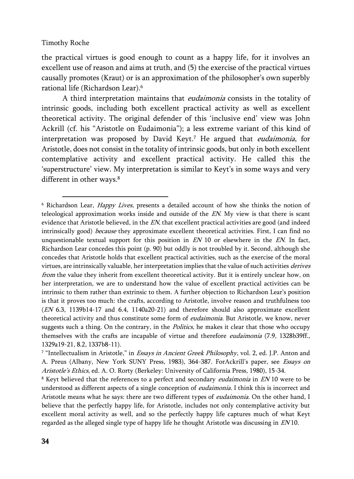$\overline{a}$ 

the practical virtues is good enough to count as a happy life, for it involves an excellent use of reason and aims at truth, and (5) the exercise of the practical virtues causally promotes (Kraut) or is an approximation of the philosopher's own superbly rational life (Richardson Lear).<sup>6</sup>

A third interpretation maintains that eudaimonia consists in the totality of intrinsic goods, including both excellent practical activity as well as excellent theoretical activity. The original defender of this 'inclusive end' view was John Ackrill (cf. his "Aristotle on Eudaimonia"); a less extreme variant of this kind of interpretation was proposed by David Keyt.<sup>7</sup> He argued that *eudaimonia*, for Aristotle, does not consist in the totality of intrinsic goods, but only in both excellent contemplative activity and excellent practical activity. He called this the 'superstructure' view. My interpretation is similar to Keyt's in some ways and very different in other ways.<sup>8</sup>

 $6$  Richardson Lear, *Happy Lives*, presents a detailed account of how she thinks the notion of teleological approximation works inside and outside of the  $EN$ . My view is that there is scant evidence that Aristotle believed, in the EN, that excellent practical activities are good (and indeed intrinsically good) *because* they approximate excellent theoretical activities. First, I can find no unquestionable textual support for this position in  $EN$  10 or elsewhere in the  $EN$ . In fact, Richardson Lear concedes this point (p. 90) but oddly is not troubled by it. Second, although she concedes that Aristotle holds that excellent practical activities, such as the exercise of the moral virtues, are intrinsically valuable, her interpretation implies that the value of such activities *derives* from the value they inherit from excellent theoretical activity. But it is entirely unclear how, on her interpretation, we are to understand how the value of excellent practical activities can be intrinsic to them rather than extrinsic to them. A further objection to Richardson Lear's position is that it proves too much: the crafts, according to Aristotle, involve reason and truthfulness too (EN 6.3, 1139b14-17 and 6.4, 1140a20-21) and therefore should also approximate excellent theoretical activity and thus constitute some form of *eudaimonia*. But Aristotle, we know, never suggests such a thing. On the contrary, in the *Politics*, he makes it clear that those who occupy themselves with the crafts are incapable of virtue and therefore *eudaimonia* (7.9, 1328b39ff., 1329a19-21, 8.2, 1337b8-11).

<sup>&</sup>lt;sup>7</sup> "Intellectualism in Aristotle," in *Essays in Ancient Greek Philosophy*, vol. 2, ed. J.P. Anton and A. Preus (Albany, New York SUNY Press, 1983), 364-387. ForAckrill's paper, see *Essays on* Aristotle's Ethics, ed. A. O. Rorty (Berkeley: University of California Press, 1980), 15-34.

<sup>&</sup>lt;sup>8</sup> Keyt believed that the references to a perfect and secondary *eudaimonia* in EN 10 were to be understood as different aspects of a single conception of *eudaimonia*. I think this is incorrect and Aristotle means what he says: there are two different types of *eudaimonia*. On the other hand, I believe that the perfectly happy life, for Aristotle, includes not only contemplative activity but excellent moral activity as well, and so the perfectly happy life captures much of what Keyt regarded as the alleged single type of happy life he thought Aristotle was discussing in EN 10.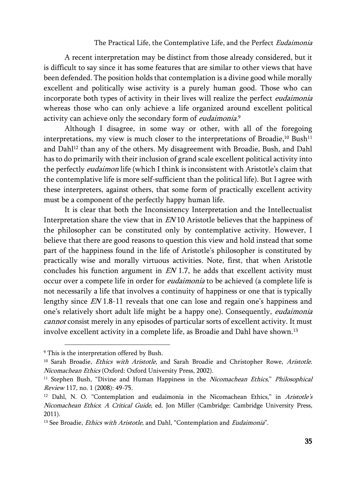A recent interpretation may be distinct from those already considered, but it is difficult to say since it has some features that are similar to other views that have been defended. The position holds that contemplation is a divine good while morally excellent and politically wise activity is a purely human good. Those who can incorporate both types of activity in their lives will realize the perfect *eudaimonia* whereas those who can only achieve a life organized around excellent political activity can achieve only the secondary form of *eudaimonia*.<sup>9</sup>

Although I disagree, in some way or other, with all of the foregoing interpretations, my view is much closer to the interpretations of Broadie,<sup>10</sup> Bush<sup>11</sup> and Dahl<sup>12</sup> than any of the others. My disagreement with Broadie, Bush, and Dahl has to do primarily with their inclusion of grand scale excellent political activity into the perfectly *eudaimon* life (which I think is inconsistent with Aristotle's claim that the contemplative life is more self-sufficient than the political life). But I agree with these interpreters, against others, that some form of practically excellent activity must be a component of the perfectly happy human life.

It is clear that both the Inconsistency Interpretation and the Intellectualist Interpretation share the view that in EN 10 Aristotle believes that the happiness of the philosopher can be constituted only by contemplative activity. However, I believe that there are good reasons to question this view and hold instead that some part of the happiness found in the life of Aristotle's philosopher is constituted by practically wise and morally virtuous activities. Note, first, that when Aristotle concludes his function argument in  $EN$  1.7, he adds that excellent activity must occur over a compete life in order for *eudaimonia* to be achieved (a complete life is not necessarily a life that involves a continuity of happiness or one that is typically lengthy since EN 1.8-11 reveals that one can lose and regain one's happiness and one's relatively short adult life might be a happy one). Consequently, eudaimonia cannot consist merely in any episodes of particular sorts of excellent activity. It must involve excellent activity in a complete life, as Broadie and Dahl have shown.<sup>13</sup>

<sup>&</sup>lt;sup>9</sup> This is the interpretation offered by Bush.

<sup>&</sup>lt;sup>10</sup> Sarah Broadie, *Ethics with Aristotle*, and Sarah Broadie and Christopher Rowe, Aristotle. Nicomachean Ethics (Oxford: Oxford University Press, 2002).

<sup>&</sup>lt;sup>11</sup> Stephen Bush, "Divine and Human Happiness in the Nicomachean Ethics," Philosophical Review 117, no. 1 (2008): 49-75.

<sup>&</sup>lt;sup>12</sup> Dahl, N. O. "Contemplation and eudaimonia in the Nicomachean Ethics," in Aristotle's Nicomachean Ethics: A Critical Guide, ed. Jon Miller (Cambridge: Cambridge University Press, 2011).

<sup>&</sup>lt;sup>13</sup> See Broadie, *Ethics with Aristotle*, and Dahl, "Contemplation and *Eudaimonia*".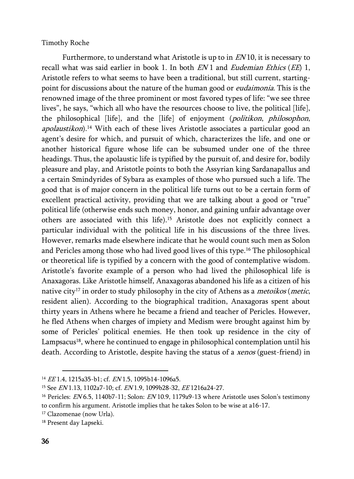Furthermore, to understand what Aristotle is up to in EN 10, it is necessary to recall what was said earlier in book 1. In both  $EN1$  and Eudemian Ethics (EE) 1, Aristotle refers to what seems to have been a traditional, but still current, startingpoint for discussions about the nature of the human good or *eudaimonia*. This is the renowned image of the three prominent or most favored types of life: "we see three lives", he says, "which all who have the resources choose to live, the political [life], the philosophical [life], and the [life] of enjoyment (politikon, philosophon, apolaustikon).<sup>14</sup> With each of these lives Aristotle associates a particular good an agent's desire for which, and pursuit of which, characterizes the life, and one or another historical figure whose life can be subsumed under one of the three headings. Thus, the apolaustic life is typified by the pursuit of, and desire for, bodily pleasure and play, and Aristotle points to both the Assyrian king Sardanapallus and a certain Smindyrides of Sybara as examples of those who pursued such a life. The good that is of major concern in the political life turns out to be a certain form of excellent practical activity, providing that we are talking about a good or "true" political life (otherwise ends such money, honor, and gaining unfair advantage over others are associated with this life).<sup>15</sup> Aristotle does not explicitly connect a particular individual with the political life in his discussions of the three lives. However, remarks made elsewhere indicate that he would count such men as Solon and Pericles among those who had lived good lives of this type.<sup>16</sup> The philosophical or theoretical life is typified by a concern with the good of contemplative wisdom. Aristotle's favorite example of a person who had lived the philosophical life is Anaxagoras. Like Aristotle himself, Anaxagoras abandoned his life as a citizen of his native city<sup>17</sup> in order to study philosophy in the city of Athens as a *metoikos* (*metic*, resident alien). According to the biographical tradition, Anaxagoras spent about thirty years in Athens where he became a friend and teacher of Pericles. However, he fled Athens when charges of impiety and Medism were brought against him by some of Pericles' political enemies. He then took up residence in the city of Lampsacus<sup>18</sup>, where he continued to engage in philosophical contemplation until his death. According to Aristotle, despite having the status of a *xenos* (guest-friend) in

<sup>&</sup>lt;sup>14</sup> EE 1.4, 1215a35-b1; cf. EN 1.5, 1095b14-1096a5.

<sup>15</sup> See EN 1.13, 1102a7-10; cf. EN 1.9, 1099b28-32, EE 1216a24-27.

<sup>&</sup>lt;sup>16</sup> Pericles: *EN* 6.5, 1140b7-11; Solon: *EN* 10.9, 1179a9-13 where Aristotle uses Solon's testimony to confirm his argument. Aristotle implies that he takes Solon to be wise at a16-17.

<sup>17</sup> Clazomenae (now Urla).

<sup>18</sup> Present day Lapseki.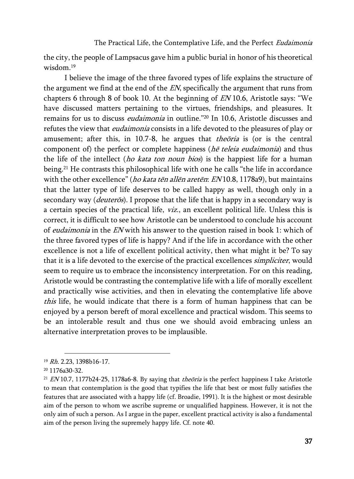the city, the people of Lampsacus gave him a public burial in honor of his theoretical wisdom<sup>19</sup>

I believe the image of the three favored types of life explains the structure of the argument we find at the end of the EN, specifically the argument that runs from chapters 6 through 8 of book 10. At the beginning of EN 10.6, Aristotle says: "We have discussed matters pertaining to the virtues, friendships, and pleasures. It remains for us to discuss eudaimonia in outline."<sup>20</sup> In 10.6, Aristotle discusses and refutes the view that *eudaimonia* consists in a life devoted to the pleasures of play or amusement; after this, in 10.7-8, he argues that *theoria* is (or is the central component of) the perfect or complete happiness ( $h\bar{e}$  teleia eudaimonia) and thus the life of the intellect (ho kata ton noun bios) is the happiest life for a human being.<sup>21</sup> He contrasts this philosophical life with one he calls "the life in accordance with the other excellence" (ho kata tēn allēn aretēn: EN10.8, 1178a9), but maintains that the latter type of life deserves to be called happy as well, though only in a secondary way (deuterōs). I propose that the life that is happy in a secondary way is a certain species of the practical life, viz., an excellent political life. Unless this is correct, it is difficult to see how Aristotle can be understood to conclude his account of eudaimonia in the EN with his answer to the question raised in book 1: which of the three favored types of life is happy? And if the life in accordance with the other excellence is not a life of excellent political activity, then what might it be? To say that it is a life devoted to the exercise of the practical excellences *simpliciter*, would seem to require us to embrace the inconsistency interpretation. For on this reading, Aristotle would be contrasting the contemplative life with a life of morally excellent and practically wise activities, and then in elevating the contemplative life above this life, he would indicate that there is a form of human happiness that can be enjoyed by a person bereft of moral excellence and practical wisdom. This seems to be an intolerable result and thus one we should avoid embracing unless an alternative interpretation proves to be implausible.

<sup>19</sup> Rh. 2.23, 1398b16-17.

<sup>20</sup> 1176a30-32.

<sup>&</sup>lt;sup>21</sup> EN 10.7, 1177b24-25, 1178a6-8. By saying that *theoria* is the perfect happiness I take Aristotle to mean that contemplation is the good that typifies the life that best or most fully satisfies the features that are associated with a happy life (cf. Broadie, 1991). It is the highest or most desirable aim of the person to whom we ascribe supreme or unqualified happiness. However, it is not the only aim of such a person. As I argue in the paper, excellent practical activity is also a fundamental aim of the person living the supremely happy life. Cf. note 40.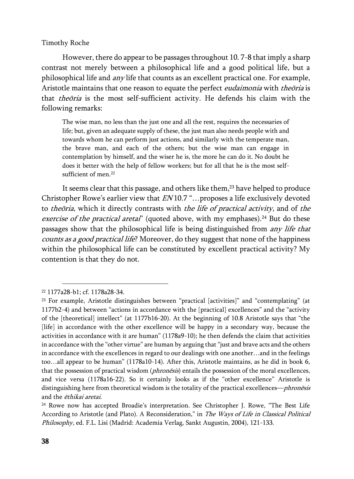However, there do appear to be passages throughout 10. 7-8 that imply a sharp contrast not merely between a philosophical life and a good political life, but a philosophical life and  $any$  life that counts as an excellent practical one. For example, Aristotle maintains that one reason to equate the perfect eudaimonia with theoria is that *theoria* is the most self-sufficient activity. He defends his claim with the following remarks:

The wise man, no less than the just one and all the rest, requires the necessaries of life; but, given an adequate supply of these, the just man also needs people with and towards whom he can perform just actions, and similarly with the temperate man, the brave man, and each of the others; but the wise man can engage in contemplation by himself, and the wiser he is, the more he can do it. No doubt he does it better with the help of fellow workers; but for all that he is the most selfsufficient of men.<sup>22</sup>

It seems clear that this passage, and others like them, $^{23}$  have helped to produce Christopher Rowe's earlier view that EN 10.7 "…proposes a life exclusively devoted to *theōria*, which it directly contrasts with *the life of practical activity*, and of *the* exercise of the practical aretai" (quoted above, with my emphases).<sup>24</sup> But do these passages show that the philosophical life is being distinguished from *any life that* counts as a good practical life? Moreover, do they suggest that none of the happiness within the philosophical life can be constituted by excellent practical activity? My contention is that they do not.

<sup>22</sup> 1177a28-b1; cf. 1178a28-34.

 $23$  For example, Aristotle distinguishes between "practical [activities]" and "contemplating" (at 1177b2-4) and between "actions in accordance with the [practical] excellences" and the "activity of the [theoretical] intellect" (at 1177b16-20). At the beginning of 10.8 Aristotle says that "the [life] in accordance with the other excellence will be happy in a secondary way, because the activities in accordance with it are human" (1178a9-10); he then defends the claim that activities in accordance with the "other virtue" are human by arguing that "just and brave acts and the others in accordance with the excellences in regard to our dealings with one another…and in the feelings too…all appear to be human" (1178a10-14). After this, Aristotle maintains, as he did in book 6, that the possession of practical wisdom (*phronēsis*) entails the possession of the moral excellences, and vice versa (1178a16-22). So it certainly looks as if the "other excellence" Aristotle is distinguishing here from theoretical wisdom is the totality of the practical excellences—*phronēsis* and the ēthikai aretai.

<sup>&</sup>lt;sup>24</sup> Rowe now has accepted Broadie's interpretation. See Christopher J. Rowe, "The Best Life According to Aristotle (and Plato). A Reconsideration," in The Ways of Life in Classical Political Philosophy, ed. F.L. Lisi (Madrid: Academia Verlag, Sankt Augustin, 2004), 121-133.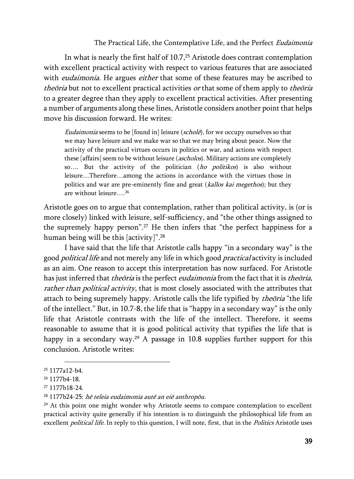In what is nearly the first half of 10.7,<sup>25</sup> Aristotle does contrast contemplation with excellent practical activity with respect to various features that are associated with *eudaimonia*. He argues *either* that some of these features may be ascribed to theōria but not to excellent practical activities or that some of them apply to theōria to a greater degree than they apply to excellent practical activities. After presenting a number of arguments along these lines, Aristotle considers another point that helps move his discussion forward. He writes:

Eudaimonia seems to be [found in] leisure ( $schol\vec{e}$ ), for we occupy ourselves so that we may have leisure and we make war so that we may bring about peace. Now the activity of the practical virtues occurs in politics or war, and actions with respect these [affairs] seem to be without leisure (*ascholos*). Military actions are completely so…. But the activity of the politician (ho politikos) is also without leisure…Therefore…among the actions in accordance with the virtues those in politics and war are pre-eminently fine and great (kallos kai megethos); but they are without leisure….<sup>26</sup>

Aristotle goes on to argue that contemplation, rather than political activity, is (or is more closely) linked with leisure, self-sufficiency, and "the other things assigned to the supremely happy person".<sup>27</sup> He then infers that "the perfect happiness for a human being will be this [activity]".<sup>28</sup>

I have said that the life that Aristotle calls happy "in a secondary way" is the good *political life* and not merely any life in which good *practical* activity is included as an aim. One reason to accept this interpretation has now surfaced. For Aristotle has just inferred that *theōria* is the perfect *eudaimonia* from the fact that it is *theōria*, rather than political activity, that is most closely associated with the attributes that attach to being supremely happy. Aristotle calls the life typified by *theoria* "the life" of the intellect." But, in 10.7-8, the life that is "happy in a secondary way" is the only life that Aristotle contrasts with the life of the intellect. Therefore, it seems reasonable to assume that it is good political activity that typifies the life that is happy in a secondary way.<sup>29</sup> A passage in 10.8 supplies further support for this conclusion. Aristotle writes:

 $\overline{a}$ <sup>25</sup> 1177a12-b4.

<sup>26</sup> 1177b4-18.

<sup>27</sup> 1177b18-24.

<sup>28</sup> 1177b24-25: hē teleia eudaimonia autē an eiē anthropōu.

<sup>&</sup>lt;sup>29</sup> At this point one might wonder why Aristotle seems to compare contemplation to excellent practical activity quite generally if his intention is to distinguish the philosophical life from an excellent *political life*. In reply to this question, I will note, first, that in the *Politics* Aristotle uses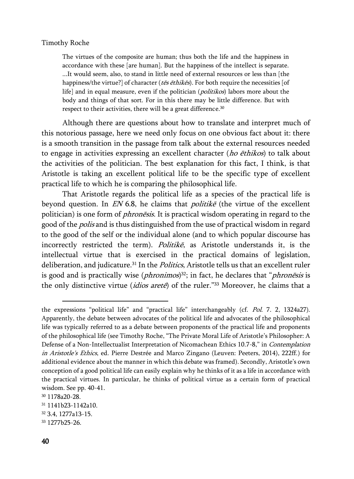The virtues of the composite are human; thus both the life and the happiness in accordance with these [are human]. But the happiness of the intellect is separate. ...It would seem, also, to stand in little need of external resources or less than [the happiness/the virtue?] of character (*tēs ēthikēs*). For both require the necessities [of life] and in equal measure, even if the politician (*politikos*) labors more about the body and things of that sort. For in this there may be little difference. But with respect to their activities, there will be a great difference.<sup>30</sup>

Although there are questions about how to translate and interpret much of this notorious passage, here we need only focus on one obvious fact about it: there is a smooth transition in the passage from talk about the external resources needed to engage in activities expressing an excellent character ( $ho$  ethikos) to talk about the activities of the politician. The best explanation for this fact, I think, is that Aristotle is taking an excellent political life to be the specific type of excellent practical life to which he is comparing the philosophical life.

That Aristotle regards the political life as a species of the practical life is beyond question. In  $EN$  6.8, he claims that *politikē* (the virtue of the excellent politician) is one form of phronēsis. It is practical wisdom operating in regard to the good of the *polis* and is thus distinguished from the use of practical wisdom in regard to the good of the self or the individual alone (and to which popular discourse has incorrectly restricted the term). Politikē, as Aristotle understands it, is the intellectual virtue that is exercised in the practical domains of legislation, deliberation, and judicature.<sup>31</sup> In the *Politics*, Aristotle tells us that an excellent ruler is good and is practically wise (*phronimos*)<sup>32</sup>; in fact, he declares that "*phronēsis* is the only distinctive virtue *(idios arete*) of the ruler.<sup>"33</sup> Moreover, he claims that a

the expressions "political life" and "practical life" interchangeably (cf. Pol. 7. 2, 1324a27). Apparently, the debate between advocates of the political life and advocates of the philosophical life was typically referred to as a debate between proponents of the practical life and proponents of the philosophical life (see Timothy Roche, "The Private Moral Life of Aristotle's Philosopher: A Defense of a Non-Intellectualist Interpretation of Nicomachean Ethics 10.7-8," in Contemplation in Aristotle's Ethics, ed. Pierre Destrée and Marco Zingano (Leuven: Peeters, 2014), 222ff.) for additional evidence about the manner in which this debate was framed). Secondly, Aristotle's own conception of a good political life can easily explain why he thinks of it as a life in accordance with the practical virtues. In particular, he thinks of political virtue as a certain form of practical wisdom. See pp. 40-41.

<sup>30</sup> 1178a20-28.

<sup>31</sup> 1141b23-1142a10.

<sup>32</sup> 3.4, 1277a13-15.

<sup>33</sup> 1277b25-26.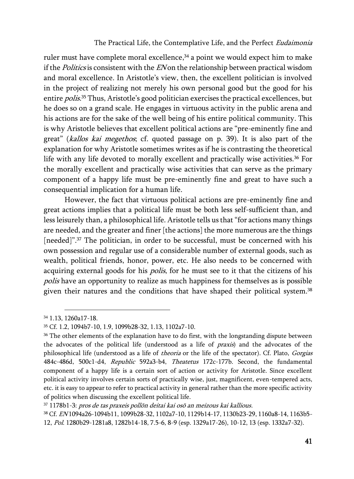ruler must have complete moral excellence, <sup>34</sup> a point we would expect him to make if the Politics is consistent with the EN on the relationship between practical wisdom and moral excellence. In Aristotle's view, then, the excellent politician is involved in the project of realizing not merely his own personal good but the good for his entire *polis*.<sup>35</sup> Thus, Aristotle's good politician exercises the practical excellences, but he does so on a grand scale. He engages in virtuous activity in the public arena and his actions are for the sake of the well being of his entire political community. This is why Aristotle believes that excellent political actions are "pre-eminently fine and great" (kallos kai megethos; cf. quoted passage on p. 39). It is also part of the explanation for why Aristotle sometimes writes as if he is contrasting the theoretical life with any life devoted to morally excellent and practically wise activities.<sup>36</sup> For the morally excellent and practically wise activities that can serve as the primary component of a happy life must be pre-eminently fine and great to have such a consequential implication for a human life.

However, the fact that virtuous political actions are pre-eminently fine and great actions implies that a political life must be both less self-sufficient than, and less leisurely than, a philosophical life. Aristotle tells us that "for actions many things are needed, and the greater and finer [the actions] the more numerous are the things [needed]".<sup>37</sup> The politician, in order to be successful, must be concerned with his own possession and regular use of a considerable number of external goods, such as wealth, political friends, honor, power, etc. He also needs to be concerned with acquiring external goods for his *polis*, for he must see to it that the citizens of his polis have an opportunity to realize as much happiness for themselves as is possible given their natures and the conditions that have shaped their political system.<sup>38</sup>

 $\overline{a}$ <sup>34</sup> 1.13, 1260a17-18.

<sup>35</sup> Cf. 1.2, 1094b7-10, 1.9, 1099b28-32, 1.13, 1102a7-10.

<sup>&</sup>lt;sup>36</sup> The other elements of the explanation have to do first, with the longstanding dispute between the advocates of the political life (understood as a life of praxis) and the advocates of the philosophical life (understood as a life of theoria or the life of the spectator). Cf. Plato, Gorgias 484c-486d, 500c1-d4, Republic 592a3-b4, Theatetus 172c-177b. Second, the fundamental component of a happy life is a certain sort of action or activity for Aristotle. Since excellent political activity involves certain sorts of practically wise, just, magnificent, even-tempered acts, etc. it is easy to appear to refer to practical activity in general rather than the more specific activity of politics when discussing the excellent political life.

<sup>37</sup> 1178b1-3: pros de tas praxeis pollōn deitai kai osō an meizous kai kallious.

<sup>38</sup> Cf. EN 1094a26-1094b11, 1099b28-32, 1102a7-10, 1129b14-17, 1130b23-29, 1160a8-14, 1163b5- 12, Pol. 1280b29-1281a8, 1282b14-18, 7.5-6, 8-9 (esp. 1329a17-26), 10-12, 13 (esp. 1332a7-32).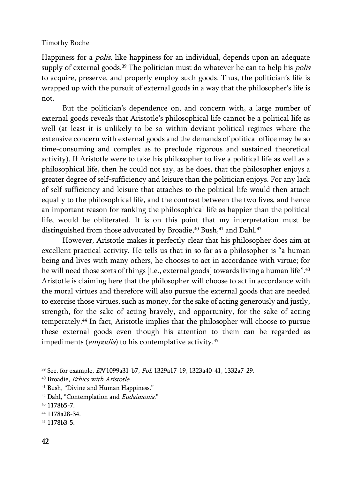Happiness for a *polis*, like happiness for an individual, depends upon an adequate supply of external goods.<sup>39</sup> The politician must do whatever he can to help his *polis* to acquire, preserve, and properly employ such goods. Thus, the politician's life is wrapped up with the pursuit of external goods in a way that the philosopher's life is not.

But the politician's dependence on, and concern with, a large number of external goods reveals that Aristotle's philosophical life cannot be a political life as well (at least it is unlikely to be so within deviant political regimes where the extensive concern with external goods and the demands of political office may be so time-consuming and complex as to preclude rigorous and sustained theoretical activity). If Aristotle were to take his philosopher to live a political life as well as a philosophical life, then he could not say, as he does, that the philosopher enjoys a greater degree of self-sufficiency and leisure than the politician enjoys. For any lack of self-sufficiency and leisure that attaches to the political life would then attach equally to the philosophical life, and the contrast between the two lives, and hence an important reason for ranking the philosophical life as happier than the political life, would be obliterated. It is on this point that my interpretation must be distinguished from those advocated by Broadie, <sup>40</sup> Bush, <sup>41</sup> and Dahl.<sup>42</sup>

However, Aristotle makes it perfectly clear that his philosopher does aim at excellent practical activity. He tells us that in so far as a philosopher is "a human being and lives with many others, he chooses to act in accordance with virtue; for he will need those sorts of things [i.e., external goods] towards living a human life".<sup>43</sup> Aristotle is claiming here that the philosopher will choose to act in accordance with the moral virtues and therefore will also pursue the external goods that are needed to exercise those virtues, such as money, for the sake of acting generously and justly, strength, for the sake of acting bravely, and opportunity, for the sake of acting temperately.<sup>44</sup> In fact, Aristotle implies that the philosopher will choose to pursue these external goods even though his attention to them can be regarded as impediments (*empodia*) to his contemplative activity.<sup>45</sup>

<sup>39</sup> See, for example, EN 1099a31-b7, Pol. 1329a17-19, 1323a40-41, 1332a7-29.

<sup>40</sup> Broadie, Ethics with Aristotle.

<sup>41</sup> Bush, "Divine and Human Happiness."

<sup>42</sup> Dahl, "Contemplation and Eudaimonia."

<sup>43</sup> 1178b5-7.

<sup>44</sup> 1178a28-34.

<sup>45</sup> 1178b3-5.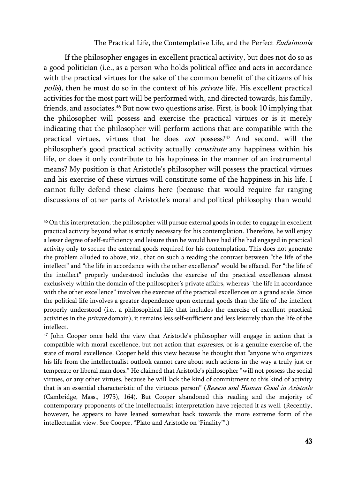If the philosopher engages in excellent practical activity, but does not do so as a good politician (i.e., as a person who holds political office and acts in accordance with the practical virtues for the sake of the common benefit of the citizens of his polis), then he must do so in the context of his private life. His excellent practical activities for the most part will be performed with, and directed towards, his family, friends, and associates.<sup>46</sup> But now two questions arise. First, is book 10 implying that the philosopher will possess and exercise the practical virtues or is it merely indicating that the philosopher will perform actions that are compatible with the practical virtues, virtues that he does not possess?<sup>47</sup> And second, will the philosopher's good practical activity actually constitute any happiness within his life, or does it only contribute to his happiness in the manner of an instrumental means? My position is that Aristotle's philosopher will possess the practical virtues and his exercise of these virtues will constitute some of the happiness in his life. I cannot fully defend these claims here (because that would require far ranging discussions of other parts of Aristotle's moral and political philosophy than would

<sup>46</sup> On this interpretation, the philosopher will pursue external goods in order to engage in excellent practical activity beyond what is strictly necessary for his contemplation. Therefore, he will enjoy a lesser degree of self-sufficiency and leisure than he would have had if he had engaged in practical activity only to secure the external goods required for his contemplation. This does not generate the problem alluded to above, viz., that on such a reading the contrast between "the life of the intellect" and "the life in accordance with the other excellence" would be effaced. For "the life of the intellect" properly understood includes the exercise of the practical excellences almost exclusively within the domain of the philosopher's private affairs, whereas "the life in accordance with the other excellence" involves the exercise of the practical excellences on a grand scale. Since the political life involves a greater dependence upon external goods than the life of the intellect properly understood (i.e., a philosophical life that includes the exercise of excellent practical activities in the private domain), it remains less self-sufficient and less leisurely than the life of the intellect.

<sup>47</sup> John Cooper once held the view that Aristotle's philosopher will engage in action that is compatible with moral excellence, but not action that *expresses*, or is a genuine exercise of, the state of moral excellence. Cooper held this view because he thought that "anyone who organizes his life from the intellectualist outlook cannot care about such actions in the way a truly just or temperate or liberal man does." He claimed that Aristotle's philosopher "will not possess the social virtues, or any other virtues, because he will lack the kind of commitment to this kind of activity that is an essential characteristic of the virtuous person" (Reason and Human Good in Aristotle (Cambridge, Mass., 1975), 164). But Cooper abandoned this reading and the majority of contemporary proponents of the intellectualist interpretation have rejected it as well. (Recently, however, he appears to have leaned somewhat back towards the more extreme form of the intellectualist view. See Cooper, "Plato and Aristotle on 'Finality'".)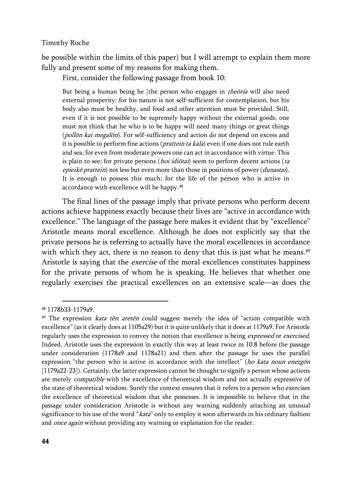be possible within the limits of this paper) but I will attempt to explain them more fully and present some of my reasons for making them.

First, consider the following passage from book 10:

But being a human being he [the person who engages in *theōria* will also need external prosperity; for his nature is not self-sufficient for contemplation, but his body also must be healthy, and food and other attention must be provided. Still, even if it is not possible to be supremely happy without the external goods, one must not think that he who is to be happy will need many things or great things (pollōn kai megalōn). For self-sufficiency and action do not depend on excess and it is possible to perform fine actions (*prattein ta kala*) even if one does not rule earth and sea; for even from moderate powers one can act in accordance with virtue. This is plain to see; for private persons *(hoi idiōtai)* seem to perform decent actions *(ta*) epieikē prattein) not less but even more than those in positions of power (*dunastai*). It is enough to possess this much; for the life of the person who is active in accordance with excellence will be happy. 48

The final lines of the passage imply that private persons who perform decent actions achieve happiness exactly because their lives are "active in accordance with excellence." The language of the passage here makes it evident that by "excellence" Aristotle means moral excellence. Although he does not explicitly say that the private persons he is referring to actually have the moral excellences in accordance with which they act, there is no reason to deny that this is just what he means.<sup>49</sup> Aristotle is saying that the *exercise* of the moral excellences constitutes happiness for the private persons of whom he is speaking. He believes that whether one regularly exercises the practical excellences on an extensive scale—as does the

 $\overline{a}$ <sup>48</sup> 1178b33-1179a9.

 $49$  The expression *kata tēn aretēn* could suggest merely the idea of "action compatible with excellence" (as it clearly does at 1105a29) but it is quite unlikely that it does at 1179a9. For Aristotle regularly uses the expression to convey the notion that excellence is being *expressed* or *exercised*. Indeed, Aristotle uses the expression in exactly this way at least twice in 10.8 before the passage under consideration (1178a9 and 1178a21) and then after the passage he uses the parallel expression "the person who is active in accordance with the intellect" (ho kata noun energōn [1179a22-23]). Certainly, the latter expression cannot be thought to signify a person whose actions are merely *compatible* with the excellence of theoretical wisdom and not actually expressive of the state of theoretical wisdom. Surely the context ensures that it refers to a person who exercises the excellence of theoretical wisdom that she possesses. It is impossible to believe that in the passage under consideration Aristotle is without any warning suddenly attaching an unusual significance to his use of the word "kata" only to employ it soon afterwards in his ordinary fashion and *once again* without providing any warning or explanation for the reader.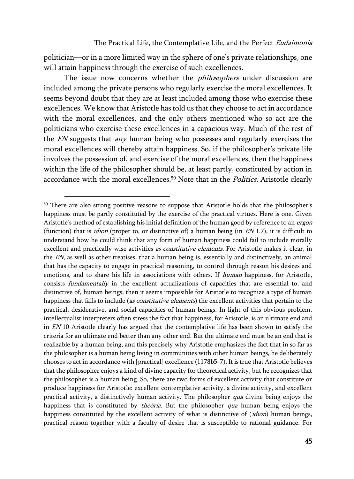politician—or in a more limited way in the sphere of one's private relationships, one will attain happiness through the exercise of such excellences.

The issue now concerns whether the *philosophers* under discussion are included among the private persons who regularly exercise the moral excellences. It seems beyond doubt that they are at least included among those who exercise these excellences. We know that Aristotle has told us that they choose to act in accordance with the moral excellences, and the only others mentioned who so act are the politicians who exercise these excellences in a capacious way. Much of the rest of the *EN* suggests that *any* human being who possesses and regularly exercises the moral excellences will thereby attain happiness. So, if the philosopher's private life involves the possession of, and exercise of the moral excellences, then the happiness within the life of the philosopher should be, at least partly, constituted by action in accordance with the moral excellences.<sup>50</sup> Note that in the *Politics*, Aristotle clearly

 $\overline{a}$ <sup>50</sup> There are also strong positive reasons to suppose that Aristotle holds that the philosopher's happiness must be partly constituted by the exercise of the practical virtues. Here is one. Given Aristotle's method of establishing his initial definition of the human good by reference to an ergon (function) that is *idion* (proper to, or distinctive of) a human being (in  $EN1.7$ ), it is difficult to understand how he could think that any form of human happiness could fail to include morally excellent and practically wise activities as constitutive elements. For Aristotle makes it clear, in the EN, as well as other treatises, that a human being is, essentially and distinctively, an animal that has the capacity to engage in practical reasoning, to control through reason his desires and emotions, and to share his life in associations with others. If *human* happiness, for Aristotle, consists fundamentally in the excellent actualizations of capacities that are essential to, and distinctive of, human beings, then it seems impossible for Aristotle to recognize a type of human happiness that fails to include (as constitutive elements) the excellent activities that pertain to the practical, desiderative, and social capacities of human beings. In light of this obvious problem, intellectualist interpreters often stress the fact that happiness, for Aristotle, is an ultimate end and in  $EN$  10 Aristotle clearly has argued that the contemplative life has been shown to satisfy the criteria for an ultimate end better than any other end. But the ultimate end must be an end that is realizable by a human being, and this precisely why Aristotle emphasizes the fact that in so far as the philosopher is a human being living in communities with other human beings, he deliberately chooses to act in accordance with [practical] excellence (1178b5-7). It is true that Aristotle believes that the philosopher enjoys a kind of divine capacity for theoretical activity, but he recognizes that the philosopher is a human being. So, there are two forms of excellent activity that constitute or produce happiness for Aristotle: excellent contemplative activity, a divine activity, and excellent practical activity, a distinctively human activity. The philosopher qua divine being enjoys the happiness that is constituted by *theōria*. But the philosopher qua human being enjoys the happiness constituted by the excellent activity of what is distinctive of (idion) human beings, practical reason together with a faculty of desire that is susceptible to rational guidance. For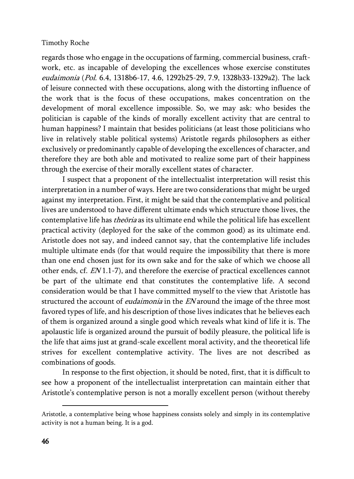regards those who engage in the occupations of farming, commercial business, craftwork, etc. as incapable of developing the excellences whose exercise constitutes eudaimonia (Pol. 6.4, 1318b6-17, 4.6, 1292b25-29, 7.9, 1328b33-1329a2). The lack of leisure connected with these occupations, along with the distorting influence of the work that is the focus of these occupations, makes concentration on the development of moral excellence impossible. So, we may ask: who besides the politician is capable of the kinds of morally excellent activity that are central to human happiness? I maintain that besides politicians (at least those politicians who live in relatively stable political systems) Aristotle regards philosophers as either exclusively or predominantly capable of developing the excellences of character, and therefore they are both able and motivated to realize some part of their happiness through the exercise of their morally excellent states of character.

I suspect that a proponent of the intellectualist interpretation will resist this interpretation in a number of ways. Here are two considerations that might be urged against my interpretation. First, it might be said that the contemplative and political lives are understood to have different ultimate ends which structure those lives, the contemplative life has *theōria* as its ultimate end while the political life has excellent practical activity (deployed for the sake of the common good) as its ultimate end. Aristotle does not say, and indeed cannot say, that the contemplative life includes multiple ultimate ends (for that would require the impossibility that there is more than one end chosen just for its own sake and for the sake of which we choose all other ends, cf. EN 1.1-7), and therefore the exercise of practical excellences cannot be part of the ultimate end that constitutes the contemplative life. A second consideration would be that I have committed myself to the view that Aristotle has structured the account of *eudaimonia* in the EN around the image of the three most favored types of life, and his description of those lives indicates that he believes each of them is organized around a single good which reveals what kind of life it is. The apolaustic life is organized around the pursuit of bodily pleasure, the political life is the life that aims just at grand-scale excellent moral activity, and the theoretical life strives for excellent contemplative activity. The lives are not described as combinations of goods.

In response to the first objection, it should be noted, first, that it is difficult to see how a proponent of the intellectualist interpretation can maintain either that Aristotle's contemplative person is not a morally excellent person (without thereby

Aristotle, a contemplative being whose happiness consists solely and simply in its contemplative activity is not a human being. It is a god.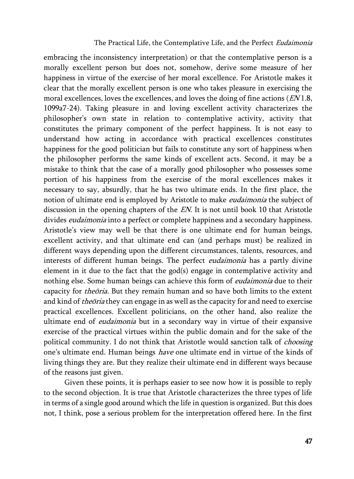embracing the inconsistency interpretation) or that the contemplative person is a morally excellent person but does not, somehow, derive some measure of her happiness in virtue of the exercise of her moral excellence. For Aristotle makes it clear that the morally excellent person is one who takes pleasure in exercising the moral excellences, loves the excellences, and loves the doing of fine actions (*EN* 1.8, 1099a7-24). Taking pleasure in and loving excellent activity characterizes the philosopher's own state in relation to contemplative activity, activity that constitutes the primary component of the perfect happiness. It is not easy to understand how acting in accordance with practical excellences constitutes happiness for the good politician but fails to constitute any sort of happiness when the philosopher performs the same kinds of excellent acts. Second, it may be a mistake to think that the case of a morally good philosopher who possesses some portion of his happiness from the exercise of the moral excellences makes it necessary to say, absurdly, that he has two ultimate ends. In the first place, the notion of ultimate end is employed by Aristotle to make eudaimonia the subject of discussion in the opening chapters of the EN. It is not until book 10 that Aristotle divides *eudaimonia* into a perfect or complete happiness and a secondary happiness. Aristotle's view may well be that there is one ultimate end for human beings, excellent activity, and that ultimate end can (and perhaps must) be realized in different ways depending upon the different circumstances, talents, resources, and interests of different human beings. The perfect eudaimonia has a partly divine element in it due to the fact that the god(s) engage in contemplative activity and nothing else. Some human beings can achieve this form of *eudaimonia* due to their capacity for *theōria*. But they remain human and so have both limits to the extent and kind of *theōria* they can engage in as well as the capacity for and need to exercise practical excellences. Excellent politicians, on the other hand, also realize the ultimate end of *eudaimonia* but in a secondary way in virtue of their expansive exercise of the practical virtues within the public domain and for the sake of the political community. I do not think that Aristotle would sanction talk of *choosing* one's ultimate end. Human beings *have* one ultimate end in virtue of the kinds of living things they are. But they realize their ultimate end in different ways because of the reasons just given.

Given these points, it is perhaps easier to see now how it is possible to reply to the second objection. It is true that Aristotle characterizes the three types of life in terms of a single good around which the life in question is organized. But this does not, I think, pose a serious problem for the interpretation offered here. In the first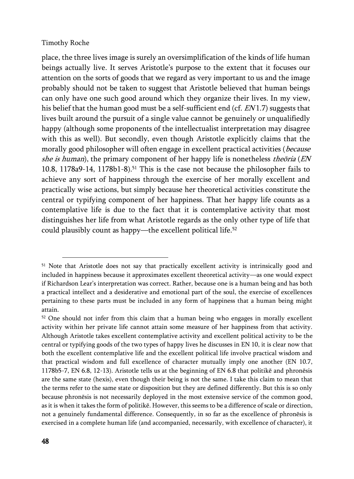$\overline{a}$ 

place, the three lives image is surely an oversimplification of the kinds of life human beings actually live. It serves Aristotle's purpose to the extent that it focuses our attention on the sorts of goods that we regard as very important to us and the image probably should not be taken to suggest that Aristotle believed that human beings can only have one such good around which they organize their lives. In my view, his belief that the human good must be a self-sufficient end (cf. EN1.7) suggests that lives built around the pursuit of a single value cannot be genuinely or unqualifiedly happy (although some proponents of the intellectualist interpretation may disagree with this as well). But secondly, even though Aristotle explicitly claims that the morally good philosopher will often engage in excellent practical activities (because she is human), the primary component of her happy life is nonetheless theoria (EN 10.8, 1178a9-14, 1178b1-8).<sup>51</sup> This is the case not because the philosopher fails to achieve any sort of happiness through the exercise of her morally excellent and practically wise actions, but simply because her theoretical activities constitute the central or typifying component of her happiness. That her happy life counts as a contemplative life is due to the fact that it is contemplative activity that most distinguishes her life from what Aristotle regards as the only other type of life that could plausibly count as happy—the excellent political life.<sup>52</sup>

<sup>&</sup>lt;sup>51</sup> Note that Aristotle does not say that practically excellent activity is intrinsically good and included in happiness because it approximates excellent theoretical activity—as one would expect if Richardson Lear's interpretation was correct. Rather, because one is a human being and has both a practical intellect and a desiderative and emotional part of the soul, the exercise of excellences pertaining to these parts must be included in any form of happiness that a human being might attain.

<sup>52</sup> One should not infer from this claim that a human being who engages in morally excellent activity within her private life cannot attain some measure of her happiness from that activity. Although Aristotle takes excellent contemplative activity and excellent political activity to be the central or typifying goods of the two types of happy lives he discusses in EN 10, it is clear now that both the excellent contemplative life and the excellent political life involve practical wisdom and that practical wisdom and full excellence of character mutually imply one another (EN 10.7, 1178b5-7, EN 6.8, 12-13). Aristotle tells us at the beginning of EN 6.8 that politikē and phronēsis are the same state (hexis), even though their being is not the same. I take this claim to mean that the terms refer to the same state or disposition but they are defined differently. But this is so only because phronēsis is not necessarily deployed in the most extensive service of the common good, as it is when it takes the form of politikē. However, this seems to be a difference of scale or direction, not a genuinely fundamental difference. Consequently, in so far as the excellence of phronēsis is exercised in a complete human life (and accompanied, necessarily, with excellence of character), it